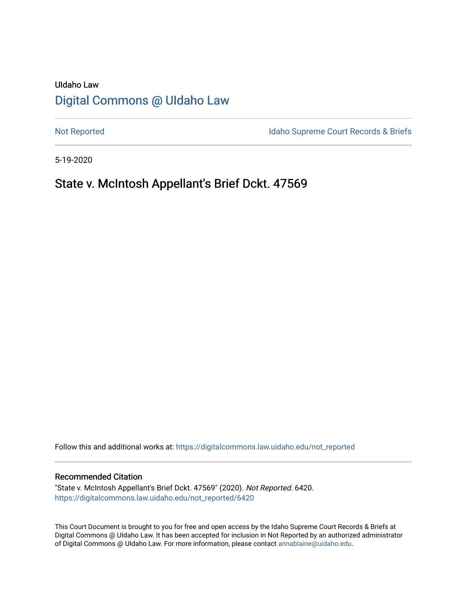# UIdaho Law [Digital Commons @ UIdaho Law](https://digitalcommons.law.uidaho.edu/)

[Not Reported](https://digitalcommons.law.uidaho.edu/not_reported) **Idaho Supreme Court Records & Briefs** 

5-19-2020

## State v. McIntosh Appellant's Brief Dckt. 47569

Follow this and additional works at: [https://digitalcommons.law.uidaho.edu/not\\_reported](https://digitalcommons.law.uidaho.edu/not_reported?utm_source=digitalcommons.law.uidaho.edu%2Fnot_reported%2F6420&utm_medium=PDF&utm_campaign=PDFCoverPages) 

#### Recommended Citation

"State v. McIntosh Appellant's Brief Dckt. 47569" (2020). Not Reported. 6420. [https://digitalcommons.law.uidaho.edu/not\\_reported/6420](https://digitalcommons.law.uidaho.edu/not_reported/6420?utm_source=digitalcommons.law.uidaho.edu%2Fnot_reported%2F6420&utm_medium=PDF&utm_campaign=PDFCoverPages)

This Court Document is brought to you for free and open access by the Idaho Supreme Court Records & Briefs at Digital Commons @ UIdaho Law. It has been accepted for inclusion in Not Reported by an authorized administrator of Digital Commons @ UIdaho Law. For more information, please contact [annablaine@uidaho.edu](mailto:annablaine@uidaho.edu).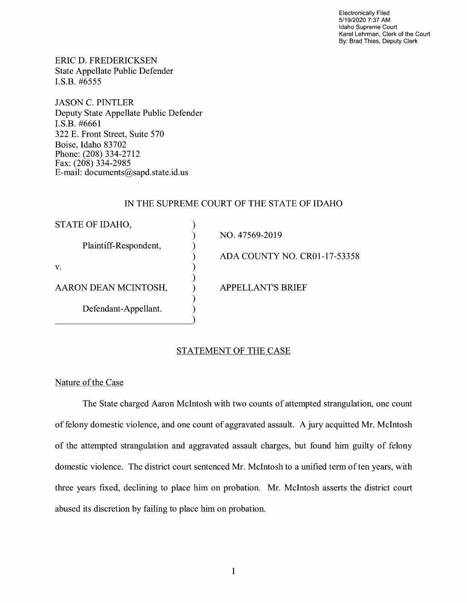Electronically Filed 5/19/2020 7:37 AM Idaho Supreme Court Karel Lehrman, Clerk of the Court By: Brad Thies, Deputy Clerk

ERIC D. FREDERICKSEN State Appellate Public Defender I.S.B. #6555

JASON C. PINTLER Deputy State Appellate Public Defender I.S.B. #6661 322 E. Front Street, Suite 570 Boise, Idaho 83702 Phone: (208) 334-2712 Fax: (208) 334-2985 E-mail: documents@sapd.state.id. us

## IN THE SUPREME COURT OF THE STATE OF IDAHO

| STATE OF IDAHO,       |                              |
|-----------------------|------------------------------|
|                       | NO. 47569-2019               |
| Plaintiff-Respondent, |                              |
|                       | ADA COUNTY NO. CR01-17-53358 |
| V.                    |                              |
|                       |                              |
| AARON DEAN MCINTOSH,  | <b>APPELLANT'S BRIEF</b>     |
|                       |                              |
| Defendant-Appellant.  |                              |
|                       |                              |

## STATEMENT OF THE CASE

Nature of the Case

The State charged Aaron McIntosh with two counts of attempted strangulation, one count of felony domestic violence, and one count of aggravated assault. A jury acquitted Mr. McIntosh of the attempted strangulation and aggravated assault charges, but found him guilty of felony domestic violence. The district court sentenced Mr. McIntosh to a unified term of ten years, with three years fixed, declining to place him on probation. Mr. McIntosh asserts the district court abused its discretion by failing to place him on probation.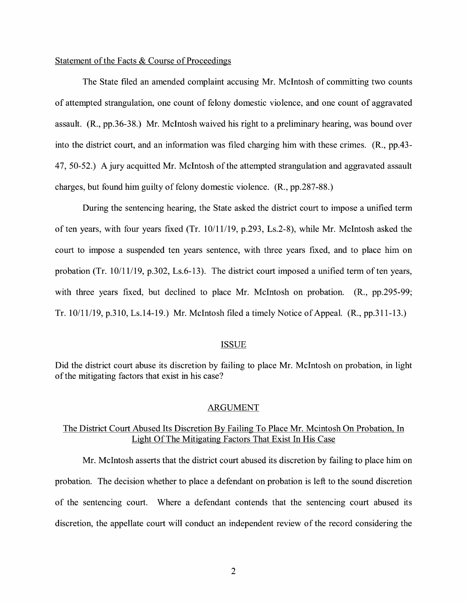## Statement of the Facts & Course of Proceedings

The State filed an amended complaint accusing Mr. McIntosh of committing two counts of attempted strangulation, one count of felony domestic violence, and one count of aggravated assault. **(R.,** pp.36-38.) Mr. McIntosh waived his right to a preliminary hearing, was bound over into the district court, and an information was filed charging him with these crimes. **(R.,** pp.43- 47, 50-52.) A jury acquitted Mr. McIntosh of the attempted strangulation and aggravated assault charges, but found him guilty of felony domestic violence. (R., pp.287-88.)

During the sentencing hearing, the State asked the district court to impose a unified term of ten years, with four years fixed (Tr. 10/11/19, p.293, Ls.2-8), while Mr. McIntosh asked the court to impose a suspended ten years sentence, with three years fixed, and to place him on probation (Tr. 10/11/19, p.302, Ls.6-13). The district court imposed a unified term of ten years, with three years fixed, but declined to place Mr. McIntosh on probation. (R., pp. 295-99; Tr. 10/11/19, p.310, Ls.14-19.) Mr. McIntosh filed a timely Notice of Appeal. (R., pp.311-13.)

#### ISSUE

Did the district court abuse its discretion by failing to place Mr. McIntosh on probation, in light of the mitigating factors that exist in his case?

#### ARGUMENT

## The District Court Abused Its Discretion By Failing To Place Mr. Mcintosh On Probation, In Light Of The Mitigating Factors That Exist In His Case

Mr. McIntosh asserts that the district court abused its discretion by failing to place him on probation. The decision whether to place a defendant on probation is left to the sound discretion of the sentencing court. Where a defendant contends that the sentencing court abused its discretion, the appellate court will conduct an independent review of the record considering the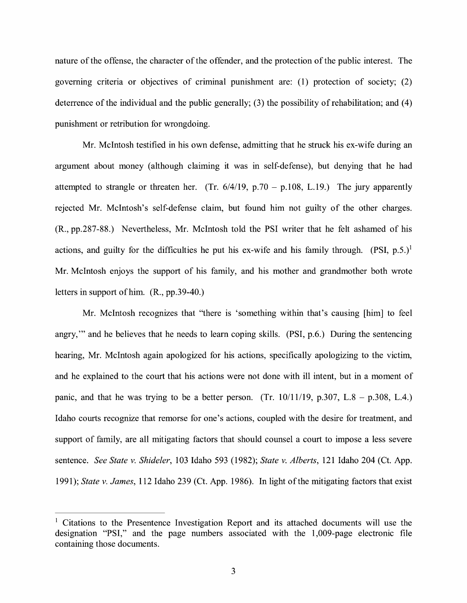nature of the offense, the character of the offender, and the protection of the public interest. The governing criteria or objectives of criminal punishment are: (1) protection of society; (2) deterrence of the individual and the public generally; (3) the possibility of rehabilitation; and (4) punishment or retribution for wrongdoing.

Mr. McIntosh testified in his own defense, admitting that he struck his ex-wife during an argument about money (although claiming it was in self-defense), but denying that he had attempted to strangle or threaten her. (Tr.  $6/4/19$ , p.70 – p.108, L.19.) The jury apparently rejected Mr. McIntosh's self-defense claim, but found him not guilty of the other charges. **(R.,** pp.287-88.) Nevertheless, Mr. McIntosh told the PSI writer that he felt ashamed of his actions, and guilty for the difficulties he put his ex-wife and his family through.  $(PSI, p.5)^1$ Mr. McIntosh enjoys the support of his family, and his mother and grandmother both wrote letters in support ofhim. **(R.,** pp.39-40.)

Mr. McIntosh recognizes that "there is 'something within that's causing [him] to feel angry,"' and he believes that he needs to learn coping skills. **(PSI,** p.6.) During the sentencing hearing, Mr. McIntosh again apologized for his actions, specifically apologizing to the victim, and he explained to the court that his actions were not done with ill intent, but in a moment of panic, and that he was trying to be a better person. (Tr.  $10/11/19$ , p.307, L.8 – p.308, L.4.) Idaho courts recognize that remorse for one's actions, coupled with the desire for treatment, and support of family, are all mitigating factors that should counsel a court to impose a less severe sentence. *See State v. Shideler,* 103 Idaho 593 (1982); *State v. Alberts,* 121 Idaho 204 (Ct. App. 1991); *State v. James,* 112 Idaho 239 (Ct. App. 1986). In light of the mitigating factors that exist

 $1$  Citations to the Presentence Investigation Report and its attached documents will use the designation "PSI," and the page numbers associated with the 1,009-page electronic file containing those documents.